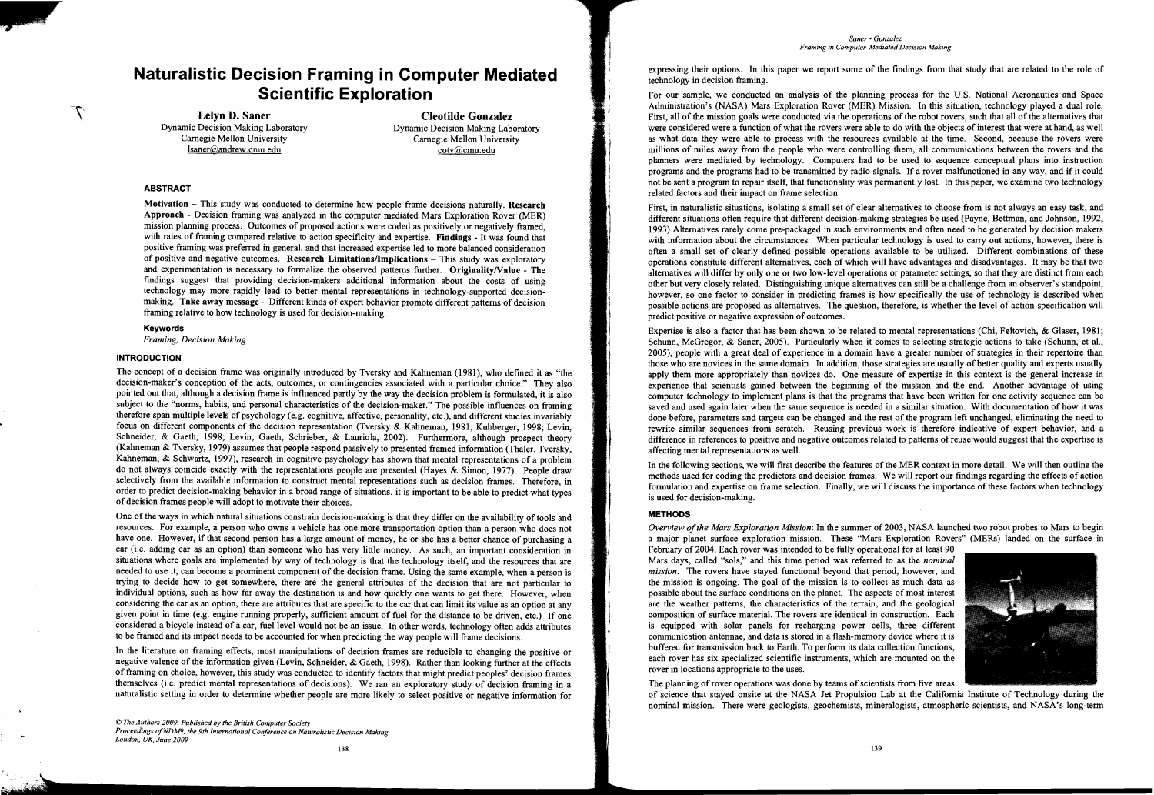# **Naturalistic Decision Framing in Computer Mediated Scientific Exploration**

Lelyn D. Saner<br>
Dynamic Decision Making Laboratory<br>
Dynamic Decision Making Laboratory<br>
Dynamic Decision Making Laboratory Isaner@andrew.cmu,edu cotv@cmu.edu

mic Decision Making Laboratory<br>
Carnegie Mellon University<br>
Carnegie Mellon University<br>
Carnegie Mellon University Carnegie Mellon University

## ABSTRACT

 $\mathcal{T}$ 

Motivation  $-$  This study was conducted to determine how people frame decisions naturally. Research Approach - Decision framing was analyzed in the computer mediated Mars Exploration Rover (MER) mission planning process. Outcomes of proposed actions were coded as positively or negatively framed, with rates of framing compared relative to action specificity and expertise. Findings - It was found that positive framing was preferred in general, and that increased expertise led to more balanced consideration of positive and negative outcomes. Research Limitations/Implications - This study was exploratory and experimentation is necessary to formalize the observed patterns further. Originality/Value - The findings suggest that providing decision-makers additional information about the costs of using technology may more rapidly lead to better mental representations in technology-supported decisionmaking. Take away message - Different kinds of expert behavior promote different patterns of decision framing relative to how technology is used for decision-making.

The concept of a decision frame was originally introduced by Tversky and Kahneman (1981), who defmed it as "the decision-maker's conception of the acts, outcomes, or contingencies associated with a particular choice." They also pointed out that, although a decision frame is influenced partly by the way the decision problem is formulated, it is also subject to the "norms, habits, and personal characteristics of the decision-maker." The possible influences on framing therefore span multiple levels of psychology (e.g. cognitive, affective, personality, etc.), and different studies invariably focus on different components of the decision representation (Tversky & Kahneman, 1981; Kuhberger, 1998; Levin, Schneider, & Gaeth, 1998; Levin, Gaeth, Schrieber, & Lauriola, 2002). Furthermore, although prospect theory (Kahneman & Tversky, 1979) assumes that people respond passively to presented framed information (Thaler, Tversky, Kahneman, & Schwartz, 1997), research in cognitive psychology has shown that mental representations of a problem do not always coincide exactly with the representations people are presented (Hayes & Simon, 1977). People draw selectively from the available information to construct mental representations such as decision frames. Therefore, in order to predict decision-making behavior in a broad range of situations, it is important to be able to predict what types of decision frames people will adopt to motivate their choices.

### Keywords

*Framing, Decision Making* 

## **INTRODUCTION**

One of the ways in which natural situations constrain decision-making is that they differ on the availability of tools and resources. For example, a person who owns a vehicle has one more transportation option than a person who does not have one. However, if that second person has a large amount of money, he or she has a better chance of purchasing a car (i.e. adding car as an option) than someone who has very little money. As such, an important consideration in situations where goals are implemented by way of technology is that the technology itself, and the resources that are needed to use it, can become a prominent component of the decision frame. Using the same example, when a person is trying to decide how to get somewhere, there are the general attributes of the decision that are not particular to individual options, such as how far away the destination is and how quickly one wants to get there. However, when considering the car as an option, there are attributes that are specific to the car that can limit its value as an option at any given point in time (e.g. engine running properly, sufficient amount of fuel for the distance to be driven, etc.) If one considered a bicycle instead of a car, fuel level would not be an issue. In other words, technology often adds attributes to be framed and its impact needs to be accounted for when predicting the way people will frame decisions.

In the literature on framing effects, most manipulations of decision frames are reducible to changing the positive or negative valence of the information given (Levin, Schneider, & Gaeth, 1998). Rather than looking further at the effects of framing on choice, however, this study was conducted to identify factors that might predict peoples' decision frames themselves (i.e. predict mental representations of decisions). We ran an exploratory study of decision framing in a naturalistic setting in order to determine whether people are more likely to select positive or negative information for

© *The Authors 2009. Published by the British Computer Society Proceedings ofNDM9, the 9th International Conference on Naturalistic Decision Making London, UK, June 2009* 

*Saner» Gonzalez Framing* in *Computer-Mediated Decision Making* 

For our sample, we conducted an analysis of the planning process for the U.S. National Aeronautics and Space Administration's (NASA) Mars Exploration Rover (MER) Mission. In this situation, technology played a dual role. First, all of the mission goals were conducted via the operations of the robot rovers, such that all of the alternatives that were considered were a function of what the rovers were able to do with the objects of interest that were at hand, as well as what data they were able to process with the resources available at the time. Second, because the rovers were millions of miles away from the people who were controlling them, all communications between the rovers and the planners were mediated by technology. Computers had to be used to sequence conceptual plans into instruction programs and the programs had to be transmitted by radio signals. If a rover malfunctioned in any way, and if it could not be sent a program to repair itself, that functionality was permanently lost. In this paper, we examine two technology related factors and their impact on frame selection.

First, in naturalistic situations, isolating a small set of clear alternatives to choose from is not always an easy task, and different situations often require that different decision-making strategies be used (Payne, Bettman, and Johnson, 1992, 1993) Alternatives rarely come pre-packaged in such environments and often need to be generated by decision makers with information about the circumstances. When particular technology is used to carry out actions, however, there is often a small set of clearly defined possible operations available to be utilized. Different combinations of these operations constitute different alternatives, each of which will have advantages and disadvantages. It may be that two alternatives will differ by only one or two low-level operations or parameter settings, so that they are distinct from each other but very closely related. Distinguishing unique alternatives can still be a challenge from an observer's standpoint, however, so one factor to consider in predicting frames is how specifically the use of technology is described when possible actions are proposed as alternatives. The question, therefore, is whether the level of action specification will predict positive or negative expression of outcomes.

Expertise is also a factor that has been shown to be related to mental representations (Chi, Feltovich, & Glaser, 1981; Schunn, McGregor, & Saner, 2005). Particularly when it comes to selecting strategic actions to take (Schunn, et aI., 2005), people with a great deal of experience in a domain have a greater number of strategies in their repertoire than those who are novices in the same domain. In addition, those strategies are usually of better quality and experts usually apply them more appropriately than novices do. One measure of expertise in this context is the general increase in experience that scientists gained between the beginning of the mission and the end. Another advantage of using computer technology to implement plans is that the programs that have been written for one activity sequence can be saved and used again later when the same sequence is needed in a similar situation. With documentation of how it was done before, parameters and targets can be changed and the rest of the program left unchanged, eliminating the need to rewrite similar sequences from scratch. Reusing previous work is therefore indicative of expert behavior, and a difference in references to positive and negative outcomes related to patterns of reuse would suggest that the expertise is affecting mental representations as well.

In the following sections, we will first describe the features of the MER context in more detail. We will then outline the methods used for coding the predictors and decision frames. We will report our fmdings regarding the effects of action formulation and expertise on frame selection. Finally, we will discuss the importance of these factors when technology is used for decision-making.

# METHODS

*Overview ofthe Mars Exploration Mission:* In the summer of 2003, NASA launched two robot probes to Mars to begin a major planet surface exploration mission. These "Mars Exploration Rovers" (MERs) landed on the surface in February of 2004. Each rover was intended to be fully operational for at least 90 Mars days, called "sols," and this time period was referred to as the *nominal mission.* The rovers have stayed functional beyond that period, however, and the mission is ongoing. The goal of the mission is to collect as much data as possible about the surface conditions on the planet. The aspects of most interest are the weather patterns, the characteristics of the terrain, and the geological composition of surface material. The rovers are identical in construction. Each is equipped with solar panels for recharging power cells, three different communication antennae, and data is stored in a flash-memory device where it is buffered for transmission back to Earth. To perform its data collection functions, each rover has six specialized scientific instruments, which are mounted on the rover in locations appropriate to the uses.

The planning of rover operations was done by teams of scientists from five areas of science that stayed onsite at the NASA Jet Propulsion Lab at the California Institute of Technology during the nominal mission. There were geologists, geochemists, mineralogists, atmospheric scientists, and NASA's long-term

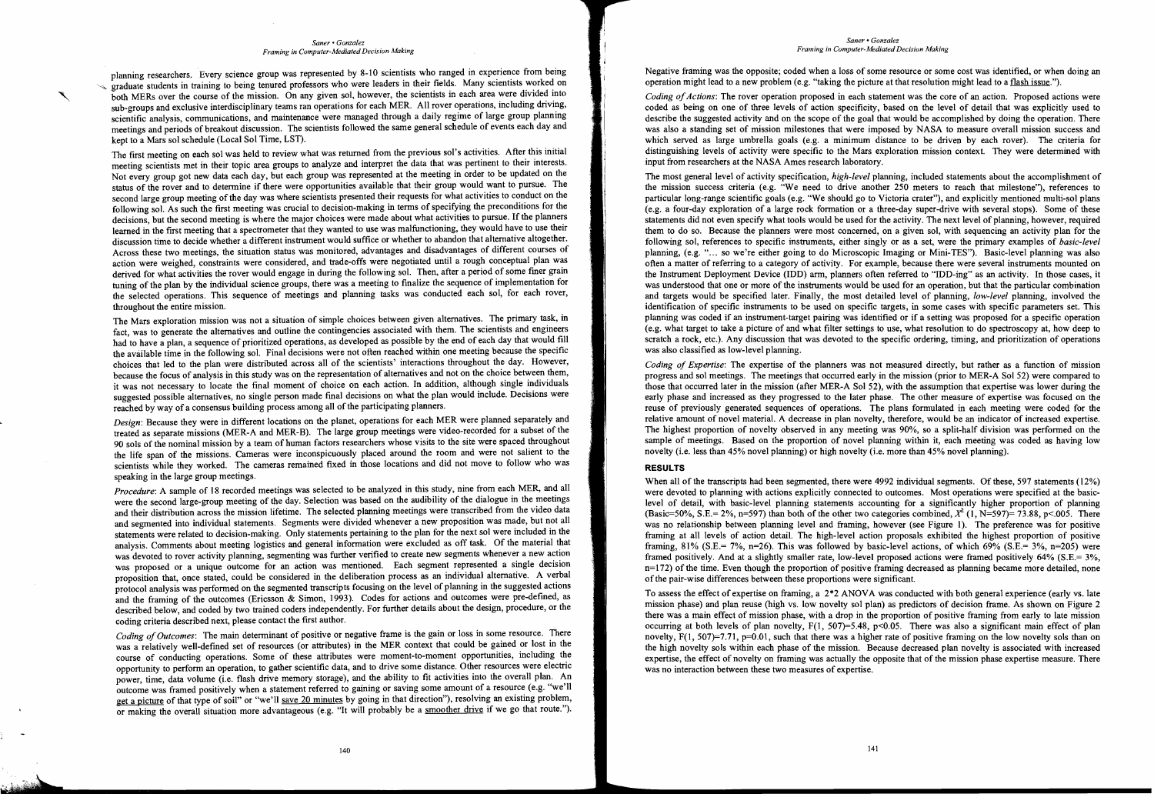#### *Saner> Gonzalez Framing in Computer-Mediated Decision Making*

planning researchers. Every science group was represented by 8-10 scientists who ranged in experience from being In training to being tenured professors who were leaders in their fields. Many scientists worked on both MERs over the course of the mission. On any given sol, however, the scientists in each area were divided into sub-groups and exclusive interdisciplinary teams ran operations for each MER. All rover operations, including driving, scientific analysis, communications, and maintenance were managed through a daily regime of large group planning meetings and periods of breakout discussion. The scientists followed the same general schedule of events each day and kept to a Mars sol schedule (Local Sol Time, LST).

The first meeting on each sol was held to review what was returned from the previous sol's activities. After this initial meeting scientists met in their topic area groups to analyze and interpret the data that was pertinent to their interests. Not every group got new data each day, but each group was represented at the meeting in order to be updated on the status of the rover and to determine if there were opportunities available that their group would want to pursue. The second large group meeting of the day was where scientists presented their requests for what activities to conduct on the following sol. As such the first meeting was crucial to decision-making in terms of specifying the preconditions for the decisions, but the second meeting is where the major choices were made about what activities to pursue. If the planners learned in the first meeting that a spectrometer that they wanted to use was malfunctioning, they would have to use their discussion time to decide whether a different instrument would suffice or whether to abandon that alternative altogether. Across these two meetings, the situation status was monitored, advantages and disadvantages of different courses of action were weighed, constraints were considered, and trade-offs were negotiated until a rough conceptual plan was derived for what activities the rover would engage in during the following sol. Then, after a period of some fmer grain tuning of the plan by the individual science groups, there was a meeting to finalize the sequence of implementation for the selected operations. This sequence of meetings and planning tasks was conducted each sol, for each rover, throughout the entire mission.

*Design:* Because they were in different locations on the planet, operations for each MER were planned separately and treated as separate missions (MER-A and MER-B). The large group meetings were video-recorded for a subset of the 90 sols of the nominal mission by a team of human factors researchers whose visits to the site were spaced throughout the life span of the missions. Cameras were inconspicuously placed around the room and were not salient to the scientists while they worked. The cameras remained fixed in those locations and did not move to follow who was speaking in the large group meetings.

*Procedure*: A sample of 18 recorded meetings was selected to be analyzed in this study, nine from each MER, and all were the second large-group meeting of the day. Selection was based on the audibility of the dialogue in the meetings and their distribution across the mission lifetime. The selected planning meetings were transcribed from the video data and segmented into individual statements. Segments were divided whenever a new proposition was made, but not all statements were related to decision-making. Only statements pertaining to the plan for the next sol were included in the analysis. Comments about meeting logistics and general information were excluded as off task. Of the material that was devoted to rover activity planning, segmenting was further verified to create new segments whenever a new action was proposed or a unique outcome for an action was mentioned. Each segment represented a single decision proposition that, once stated, could be considered in the deliberation process as an individual alternative. A verbal protocol analysis was performed on the segmented transcripts focusing on the level of planning in the suggested actions and the framing of the outcomes (Ericsson & Simon, 1993). Codes for actions and outcomes were pre-defmed, as described below, and coded by two trained coders independently. For further details about the design, procedure, or the coding criteria described next, please contact the first author.

The Mars exploration mission was not a situation of simple choices between given alternatives. The primary task, in fact, was to generate the alternatives and outline the contingencies associated with them. The scientists and engineers had to have a plan, a sequence of prioritized operations, as developed as possible by the end of each day that would fill the available time in the following sol. Final decisions were not often reached within one meeting because the specific choices that led to the plan were distributed across all of the scientists' interactions throughout the day. However, because the focus of analysis in this study was on the representation of alternatives and not on the choice between them, it was not necessary to locate the final moment of choice on each action. In addition, although single individuals suggested possible alternatives, no single person made fmal decisions on what the plan would include. Decisions were reached by way of a consensus building process among all of the participating planners.

*Coding of Outcomes:* The main determinant of positive or negative frame is the gain or loss in some resource. There was a relatively well-defined set of resources (or attributes) in the MER context that could be gained or lost in the course of conducting operations. Some of these attributes were moment-to-moment opportunities, including the opportunity to perform an operation, to gather scientific data, and to drive some distance. Other resources were electric power, time, data volume (i.e. flash drive memory storage), and the ability to fit activities into the overall plan. An outcome was framed positively when a statement referred to gaining or saving some amount of a resource (e.g. ''we'll get a picture of that type of soil" or "we'll save 20 minutes by going in that direction"), resolving an existing problem, or making the overall situation more advantageous (e.g. "It will probably be a smoother drive if we go that route.").

*Coding of Actions:* The rover operation proposed in each statement was the core of an action. Proposed actions were coded as being on one of three levels of action specificity, based on the level of detail that was explicitly used to describe the suggested activity and on the scope of the goal that would be accomplished by doing the operation. There was also a standing set of mission milestones that were imposed by NASA to measure overall mission success and which served as large umbrella goals (e.g. a minimum distance to be driven by each rover). The criteria for distinguishing levels of activity were specific to the Mars exploration mission context. They were determined with input from researchers at the NASA Ames research laboratory.

When all of the transcripts had been segmented, there were 4992 individual segments. Of these, 597 statements (12%) were devoted to planning with actions explicitly connected to outcomes. Most operations were specified at the basiclevel of detail, with basic-level planning statements accounting for a significantly higher proportion of planning (Basic=50%, S.E.= 2%, n=597) than both of the other two categories combined,  $\chi^2$  (1, N=597)= 73.88, p<.005. There was no relationship between planning level and framing, however (see Figure 1). The preference was for positive framing at all levels of action detail. The high-level action proposals exhibited the highest proportion of positive framing, 81% (S.E.= 7%, n=26). This was followed by basic-level actions, of which 69% (S.E.= 3%, n=205) were framed positively. And at a slightly smaller rate, low-level proposed actions were framed positively 64% (S.E.= 3%,  $n=172$ ) of the time. Even though the proportion of positive framing decreased as planning became more detailed, none of the pair-wise differences between these proportions were significant.

#### *Saner» Gonzalez Framing in Computer-Mediated Decision Making*

Negative framing was the opposite; coded when a loss of some resource or some cost was identified, or when doing an operation might lead to a new problem (e.g. "taking the picture at that resolution might lead to a flash issue.").

The most general level of activity specification, *high-level* planning, included statements about the accomplishment of the mission success criteria (e.g. "We need to drive another 250 meters to reach that milestone"), references to particular long-range scientific goals (e.g. "We should go to Victoria crater"), and explicitly mentioned multi-sol plans (e.g. a four-day exploration of a large rock formation or a three-day super-drive with several stops). Some of these statements did not even specify what tools would be used for the activity. The next level of planning, however, required them to do so. Because the planners were most concerned, on a given sol, with sequencing an activity plan for the following sol, references to specific instruments, either singly or as a set, were the primary examples of *basic-level*  planning, (e.g. "... so we're either going to do Microscopic Imaging or Mini-TES"). Basic-level planning was also often a matter of referring to a category of activity. For example, because there were several instruments mounted on the Instrument Deployment Device (IDD) arm, planners often referred to "IDD-ing" as an activity. In those cases, it was understood that one or more of the instruments would be used for an operation, but that the particular combination and targets would be specified later. Finally, the most detailed level of planning, *low-level* planning, involved the identification of specific instruments to be used on specific targets, in some cases with specific parameters set. This planning was coded if an instrument-target pairing was identified or if a setting was proposed for a specific operation (e.g. what target to take a picture of and what filter settings to use, what resolution to do spectroscopy at, how deep to scratch a rock, etc.). Any discussion that was devoted to the specific ordering, timing, and prioritization of operations was also classified as low-level planning.

*Coding of Expertise:* The expertise of the planners was not measured directly, but rather as a function of mission progress and sol meetings. The meetings that occurred early in the mission (prior to MER-A Sol 52) were compared to those that occurred later in the mission (after MER-A Sol 52), with the assumption that expertise was lower during the early phase and increased as they progressed to the later phase. The other measure of expertise was focused on the reuse of previously generated sequences of operations. The plans formulated in each meeting were coded for the relative amount of novel material. A decrease in plan novelty, therefore, would be an indicator of increased expertise. The highest proportion of novelty observed in any meeting was 90%, so a split-half division was performed on the sample of meetings. Based on the proportion of novel planning within it, each meeting was coded as having low novelty (i.e. less than 45% novel planning) or high novelty (i.e. more than 45% novel planning).

# **RESULTS**

To assess the effect of expertise on framing, a 2\*2 ANOVA was conducted with both general experience (early vs. late mission phase) and plan reuse (high vs. low novelty sol plan) as predictors of decision frame. As shown on Figure 2 there was a main effect of mission phase, with a drop in the proportion of positive framing from early to late mission occurring at both levels of plan novelty,  $F(1, 507)=5.48$ ,  $p<0.05$ . There was also a significant main effect of plan novelty,  $F(1, 507)=7.71$ ,  $p=0.01$ , such that there was a higher rate of positive framing on the low novelty sols than on the high novelty sols within each phase of the mission. Because decreased plan novelty is associated with increased expertise, the effect of novelty on framing was actually the opposite that of the mission phase expertise measure. There was no interaction between these two measures of expertise.